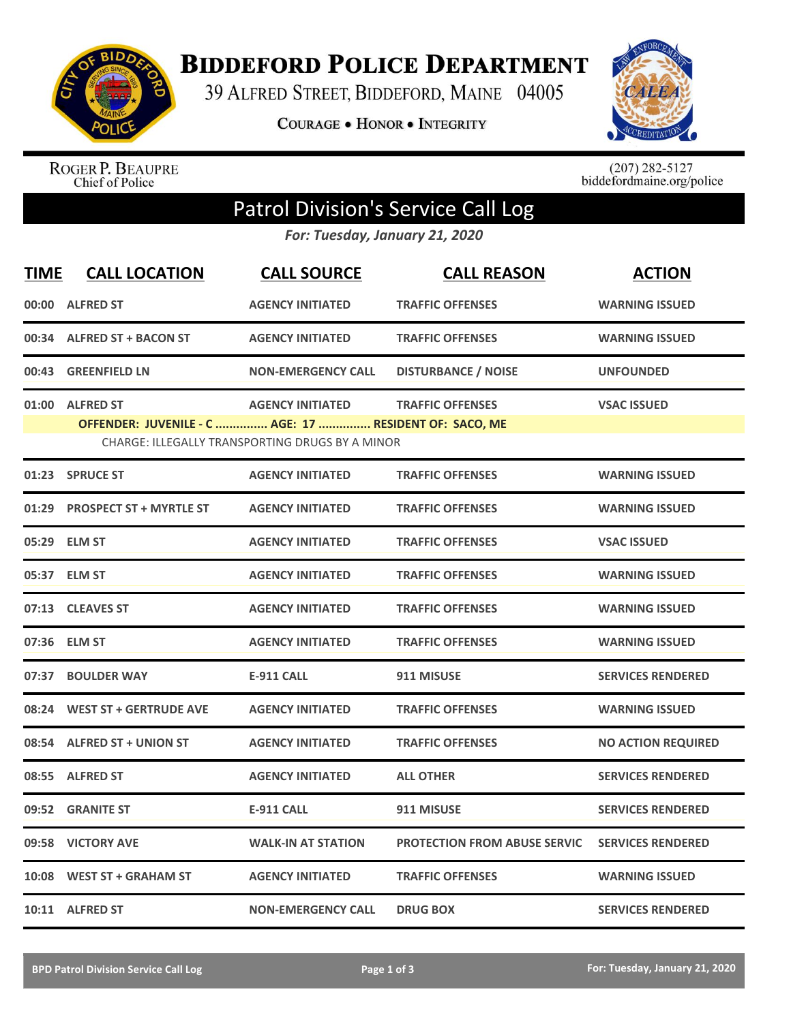

**BIDDEFORD POLICE DEPARTMENT** 

39 ALFRED STREET, BIDDEFORD, MAINE 04005

**COURAGE . HONOR . INTEGRITY** 



ROGER P. BEAUPRE<br>Chief of Police

 $(207)$  282-5127<br>biddefordmaine.org/police

## Patrol Division's Service Call Log

*For: Tuesday, January 21, 2020*

| <b>TIME</b>                                                                                                      | <b>CALL LOCATION</b>           | <b>CALL SOURCE</b>        | <b>CALL REASON</b>                  | <b>ACTION</b>             |  |  |
|------------------------------------------------------------------------------------------------------------------|--------------------------------|---------------------------|-------------------------------------|---------------------------|--|--|
|                                                                                                                  | 00:00 ALFRED ST                | <b>AGENCY INITIATED</b>   | <b>TRAFFIC OFFENSES</b>             | <b>WARNING ISSUED</b>     |  |  |
|                                                                                                                  | 00:34 ALFRED ST + BACON ST     | <b>AGENCY INITIATED</b>   | <b>TRAFFIC OFFENSES</b>             | <b>WARNING ISSUED</b>     |  |  |
|                                                                                                                  | 00:43 GREENFIELD LN            | <b>NON-EMERGENCY CALL</b> | <b>DISTURBANCE / NOISE</b>          | <b>UNFOUNDED</b>          |  |  |
| 01:00                                                                                                            | <b>ALFRED ST</b>               | <b>AGENCY INITIATED</b>   | <b>TRAFFIC OFFENSES</b>             | <b>VSAC ISSUED</b>        |  |  |
| OFFENDER: JUVENILE - C  AGE: 17  RESIDENT OF: SACO, ME<br><b>CHARGE: ILLEGALLY TRANSPORTING DRUGS BY A MINOR</b> |                                |                           |                                     |                           |  |  |
| 01:23                                                                                                            | <b>SPRUCE ST</b>               | <b>AGENCY INITIATED</b>   | <b>TRAFFIC OFFENSES</b>             | <b>WARNING ISSUED</b>     |  |  |
| 01:29                                                                                                            | <b>PROSPECT ST + MYRTLE ST</b> | <b>AGENCY INITIATED</b>   | <b>TRAFFIC OFFENSES</b>             | <b>WARNING ISSUED</b>     |  |  |
| 05:29                                                                                                            | <b>ELM ST</b>                  | <b>AGENCY INITIATED</b>   | <b>TRAFFIC OFFENSES</b>             | <b>VSAC ISSUED</b>        |  |  |
| 05:37                                                                                                            | <b>ELM ST</b>                  | <b>AGENCY INITIATED</b>   | <b>TRAFFIC OFFENSES</b>             | <b>WARNING ISSUED</b>     |  |  |
| 07:13                                                                                                            | <b>CLEAVES ST</b>              | <b>AGENCY INITIATED</b>   | <b>TRAFFIC OFFENSES</b>             | <b>WARNING ISSUED</b>     |  |  |
| 07:36                                                                                                            | <b>ELM ST</b>                  | <b>AGENCY INITIATED</b>   | <b>TRAFFIC OFFENSES</b>             | <b>WARNING ISSUED</b>     |  |  |
| 07:37                                                                                                            | <b>BOULDER WAY</b>             | <b>E-911 CALL</b>         | 911 MISUSE                          | <b>SERVICES RENDERED</b>  |  |  |
|                                                                                                                  | 08:24 WEST ST + GERTRUDE AVE   | <b>AGENCY INITIATED</b>   | <b>TRAFFIC OFFENSES</b>             | <b>WARNING ISSUED</b>     |  |  |
|                                                                                                                  | 08:54 ALFRED ST + UNION ST     | <b>AGENCY INITIATED</b>   | <b>TRAFFIC OFFENSES</b>             | <b>NO ACTION REQUIRED</b> |  |  |
|                                                                                                                  | 08:55 ALFRED ST                | <b>AGENCY INITIATED</b>   | <b>ALL OTHER</b>                    | <b>SERVICES RENDERED</b>  |  |  |
| 09:52                                                                                                            | <b>GRANITE ST</b>              | <b>E-911 CALL</b>         | 911 MISUSE                          | <b>SERVICES RENDERED</b>  |  |  |
|                                                                                                                  | 09:58 VICTORY AVE              | <b>WALK-IN AT STATION</b> | <b>PROTECTION FROM ABUSE SERVIC</b> | <b>SERVICES RENDERED</b>  |  |  |
| 10:08                                                                                                            | <b>WEST ST + GRAHAM ST</b>     | <b>AGENCY INITIATED</b>   | <b>TRAFFIC OFFENSES</b>             | <b>WARNING ISSUED</b>     |  |  |
|                                                                                                                  | 10:11 ALFRED ST                | <b>NON-EMERGENCY CALL</b> | <b>DRUG BOX</b>                     | <b>SERVICES RENDERED</b>  |  |  |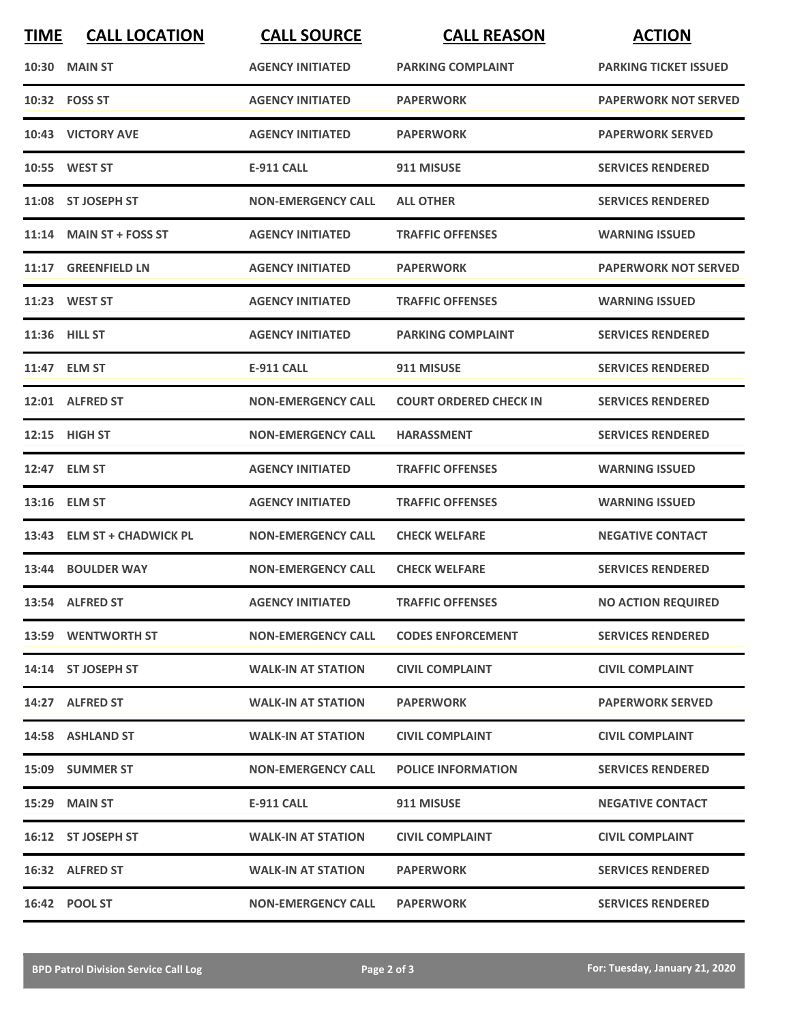| <b>TIME</b> | <b>CALL LOCATION</b>       | <b>CALL SOURCE</b>        | <b>CALL REASON</b>            | <b>ACTION</b>                |
|-------------|----------------------------|---------------------------|-------------------------------|------------------------------|
|             | <b>10:30 MAIN ST</b>       | <b>AGENCY INITIATED</b>   | <b>PARKING COMPLAINT</b>      | <b>PARKING TICKET ISSUED</b> |
|             | 10:32 FOSS ST              | <b>AGENCY INITIATED</b>   | <b>PAPERWORK</b>              | <b>PAPERWORK NOT SERVED</b>  |
|             | 10:43 VICTORY AVE          | <b>AGENCY INITIATED</b>   | <b>PAPERWORK</b>              | <b>PAPERWORK SERVED</b>      |
|             | 10:55 WEST ST              | <b>E-911 CALL</b>         | 911 MISUSE                    | <b>SERVICES RENDERED</b>     |
|             | 11:08 ST JOSEPH ST         | <b>NON-EMERGENCY CALL</b> | <b>ALL OTHER</b>              | <b>SERVICES RENDERED</b>     |
|             | 11:14 MAIN ST + FOSS ST    | <b>AGENCY INITIATED</b>   | <b>TRAFFIC OFFENSES</b>       | <b>WARNING ISSUED</b>        |
|             | 11:17 GREENFIELD LN        | <b>AGENCY INITIATED</b>   | <b>PAPERWORK</b>              | <b>PAPERWORK NOT SERVED</b>  |
|             | 11:23 WEST ST              | <b>AGENCY INITIATED</b>   | <b>TRAFFIC OFFENSES</b>       | <b>WARNING ISSUED</b>        |
|             | 11:36 HILL ST              | <b>AGENCY INITIATED</b>   | <b>PARKING COMPLAINT</b>      | <b>SERVICES RENDERED</b>     |
|             | 11:47 ELM ST               | <b>E-911 CALL</b>         | 911 MISUSE                    | <b>SERVICES RENDERED</b>     |
|             | 12:01 ALFRED ST            | <b>NON-EMERGENCY CALL</b> | <b>COURT ORDERED CHECK IN</b> | <b>SERVICES RENDERED</b>     |
|             | 12:15 HIGH ST              | <b>NON-EMERGENCY CALL</b> | <b>HARASSMENT</b>             | <b>SERVICES RENDERED</b>     |
|             | 12:47 ELM ST               | <b>AGENCY INITIATED</b>   | <b>TRAFFIC OFFENSES</b>       | <b>WARNING ISSUED</b>        |
|             | 13:16 ELM ST               | <b>AGENCY INITIATED</b>   | <b>TRAFFIC OFFENSES</b>       | <b>WARNING ISSUED</b>        |
|             | 13:43 ELM ST + CHADWICK PL | <b>NON-EMERGENCY CALL</b> | <b>CHECK WELFARE</b>          | <b>NEGATIVE CONTACT</b>      |
|             | 13:44 BOULDER WAY          | <b>NON-EMERGENCY CALL</b> | <b>CHECK WELFARE</b>          | <b>SERVICES RENDERED</b>     |
|             | 13:54 ALFRED ST            | <b>AGENCY INITIATED</b>   | <b>TRAFFIC OFFENSES</b>       | <b>NO ACTION REQUIRED</b>    |
|             | 13:59 WENTWORTH ST         | <b>NON-EMERGENCY CALL</b> | <b>CODES ENFORCEMENT</b>      | <b>SERVICES RENDERED</b>     |
|             | 14:14 ST JOSEPH ST         | <b>WALK-IN AT STATION</b> | <b>CIVIL COMPLAINT</b>        | <b>CIVIL COMPLAINT</b>       |
|             | 14:27 ALFRED ST            | <b>WALK-IN AT STATION</b> | <b>PAPERWORK</b>              | <b>PAPERWORK SERVED</b>      |
|             | 14:58 ASHLAND ST           | <b>WALK-IN AT STATION</b> | <b>CIVIL COMPLAINT</b>        | <b>CIVIL COMPLAINT</b>       |
|             | 15:09 SUMMER ST            | <b>NON-EMERGENCY CALL</b> | <b>POLICE INFORMATION</b>     | <b>SERVICES RENDERED</b>     |
|             | 15:29 MAIN ST              | E-911 CALL                | 911 MISUSE                    | <b>NEGATIVE CONTACT</b>      |
|             | 16:12 ST JOSEPH ST         | <b>WALK-IN AT STATION</b> | <b>CIVIL COMPLAINT</b>        | <b>CIVIL COMPLAINT</b>       |
|             | 16:32 ALFRED ST            | <b>WALK-IN AT STATION</b> | <b>PAPERWORK</b>              | <b>SERVICES RENDERED</b>     |
|             | 16:42 POOL ST              | <b>NON-EMERGENCY CALL</b> | <b>PAPERWORK</b>              | <b>SERVICES RENDERED</b>     |